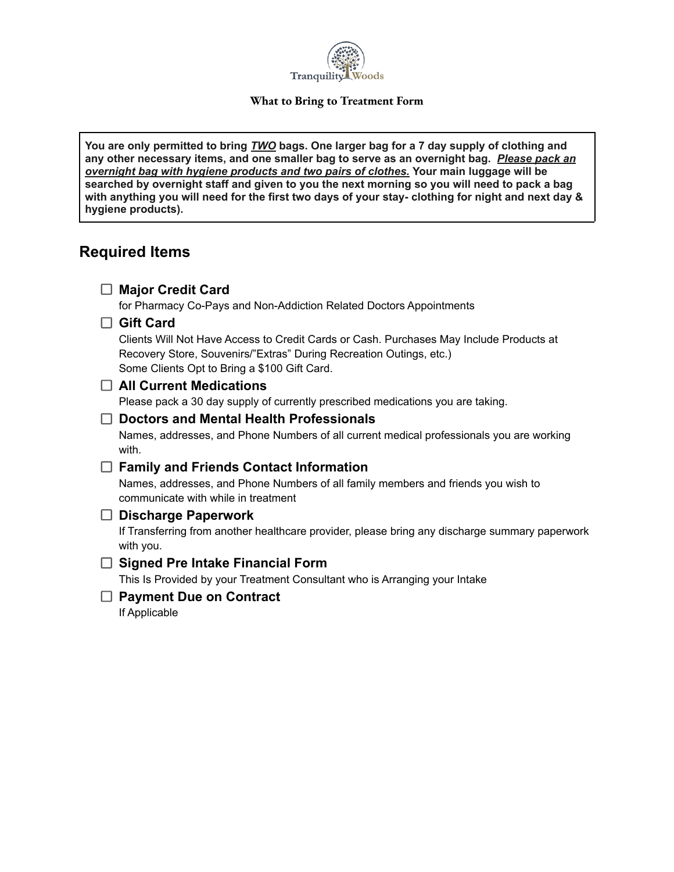

#### **What to Bring to Treatment Form**

**You are only permitted to bring** *TWO* **bags. One larger bag for a 7 day supply of clothing and any other necessary items, and one smaller bag to serve as an overnight bag.** *Please pack an overnight bag with hygiene products and two pairs of clothes.* **Your main luggage will be** searched by overnight staff and given to you the next morning so you will need to pack a bag with anything you will need for the first two days of your stay- clothing for night and next day & **hygiene products).**

### **Required Items**

| <b>Major Credit Card</b>                                                                                                                                                                                       |
|----------------------------------------------------------------------------------------------------------------------------------------------------------------------------------------------------------------|
| for Pharmacy Co-Pays and Non-Addiction Related Doctors Appointments                                                                                                                                            |
| <b>Gift Card</b>                                                                                                                                                                                               |
| Clients Will Not Have Access to Credit Cards or Cash. Purchases May Include Products at<br>Recovery Store, Souvenirs/"Extras" During Recreation Outings, etc.)<br>Some Clients Opt to Bring a \$100 Gift Card. |
| $\Box$ All Current Medications                                                                                                                                                                                 |
| Please pack a 30 day supply of currently prescribed medications you are taking.                                                                                                                                |
| <b>Doctors and Mental Health Professionals</b>                                                                                                                                                                 |
| Names, addresses, and Phone Numbers of all current medical professionals you are working<br>with.                                                                                                              |
| <b>Family and Friends Contact Information</b>                                                                                                                                                                  |
| Names, addresses, and Phone Numbers of all family members and friends you wish to<br>communicate with while in treatment                                                                                       |
| <b>Discharge Paperwork</b><br>LΙ                                                                                                                                                                               |
| If Transferring from another healthcare provider, please bring any discharge summary paperwork<br>with you.                                                                                                    |
| <b>Signed Pre Intake Financial Form</b>                                                                                                                                                                        |
| This Is Provided by your Treatment Consultant who is Arranging your Intake                                                                                                                                     |
| <b>Payment Due on Contract</b>                                                                                                                                                                                 |
| If Applicable                                                                                                                                                                                                  |
|                                                                                                                                                                                                                |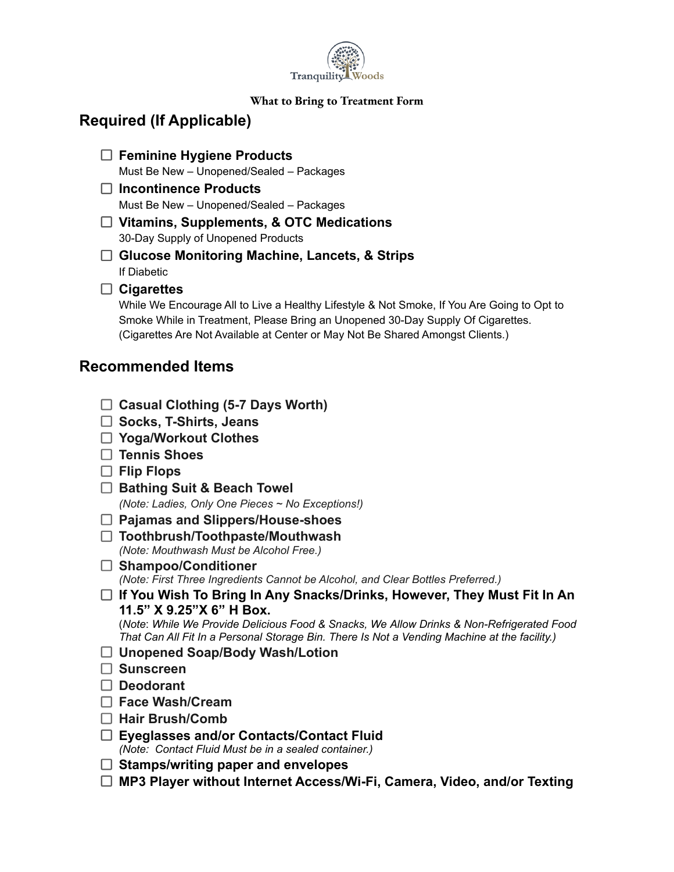

#### **What to Bring to Treatment Form**

## **Required (If Applicable)**

- **Feminine Hygiene Products** Must Be New – Unopened/Sealed – Packages
- **Incontinence Products** Must Be New – Unopened/Sealed – Packages
- **Vitamins, Supplements, & OTC Medications** 30-Day Supply of Unopened Products
- **Glucose Monitoring Machine, Lancets, & Strips** If Diabetic
- **Cigarettes**

While We Encourage All to Live a Healthy Lifestyle & Not Smoke, If You Are Going to Opt to Smoke While in Treatment, Please Bring an Unopened 30-Day Supply Of Cigarettes. (Cigarettes Are Not Available at Center or May Not Be Shared Amongst Clients.)

### **Recommended Items**

- **Casual Clothing (5-7 Days Worth)**
- **Socks, T-Shirts, Jeans**
- **Yoga/Workout Clothes**
- **Tennis Shoes**
- **Flip Flops**
- **Bathing Suit & Beach Towel**

*(Note: Ladies, Only One Pieces ~ No Exceptions!)*

- **Pajamas and Slippers/House-shoes**
- **Toothbrush/Toothpaste/Mouthwash** *(Note: Mouthwash Must be Alcohol Free.)*
- **Shampoo/Conditioner** *(Note: First Three Ingredients Cannot be Alcohol, and Clear Bottles Preferred.)*
- **If You Wish To Bring In Any Snacks/Drinks, However, They Must Fit In An 11.5" X 9.25"X 6" H Box.**

(*Note*: *While We Provide Delicious Food & Snacks, We Allow Drinks & Non-Refrigerated Food That Can All Fit In a Personal Storage Bin. There Is Not a Vending Machine at the facility.)*

- **Unopened Soap/Body Wash/Lotion**
- **Sunscreen**
- **Deodorant**
- **Face Wash/Cream**
- **Hair Brush/Comb**
- **Eyeglasses and/or Contacts/Contact Fluid** *(Note: Contact Fluid Must be in a sealed container.)*
- **Stamps/writing paper and envelopes**
- **MP3 Player without Internet Access/Wi-Fi, Camera, Video, and/or Texting**